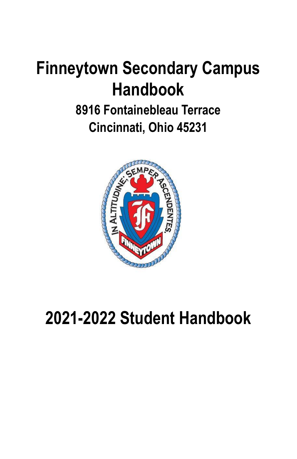# **Finneytown Secondary Campus Handbook**

# **8916 Fontainebleau Terrace Cincinnati, Ohio 45231**



# **2021-2022 Student Handbook**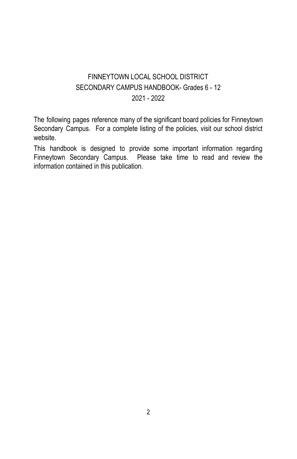# FINNEYTOWN LOCAL SCHOOL DISTRICT SECONDARY CAMPUS HANDBOOK- Grades 6 - 12 2021 - 2022

The following pages reference many of the significant board policies for Finneytown Secondary Campus. For a complete listing of the policies, visit our school district website.

This handbook is designed to provide some important information regarding Finneytown Secondary Campus. Please take time to read and review the information contained in this publication.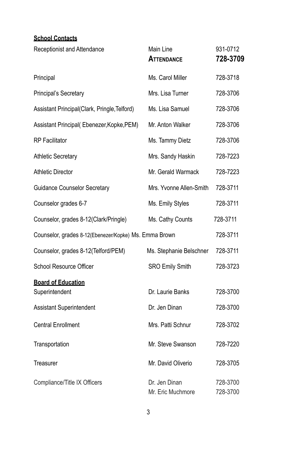# **School Contacts**

| Receptionist and Attendance                           | Main Line<br>ATTENDANCE            | 931-0712<br>728-3709 |
|-------------------------------------------------------|------------------------------------|----------------------|
| Principal                                             | Ms. Carol Miller                   | 728-3718             |
| Principal's Secretary                                 | Mrs. Lisa Turner                   | 728-3706             |
| Assistant Principal(Clark, Pringle, Telford)          | Ms. Lisa Samuel                    | 728-3706             |
| Assistant Principal(Ebenezer, Kopke, PEM)             | Mr. Anton Walker                   | 728-3706             |
| <b>RP</b> Facilitator                                 | Ms. Tammy Dietz                    | 728-3706             |
| <b>Athletic Secretary</b>                             | Mrs. Sandy Haskin                  | 728-7223             |
| <b>Athletic Director</b>                              | Mr. Gerald Warmack                 | 728-7223             |
| <b>Guidance Counselor Secretary</b>                   | Mrs. Yvonne Allen-Smith            | 728-3711             |
| Counselor grades 6-7                                  | Ms. Emily Styles                   | 728-3711             |
| Counselor, grades 8-12(Clark/Pringle)                 | Ms. Cathy Counts                   | 728-3711             |
| Counselor, grades 8-12(Ebenezer/Kopke) Ms. Emma Brown | 728-3711                           |                      |
| Counselor, grades 8-12(Telford/PEM)                   | Ms. Stephanie Belschner            | 728-3711             |
| School Resource Officer                               | <b>SRO Emily Smith</b>             | 728-3723             |
| <b>Board of Education</b><br>Superintendent           | Dr. Laurie Banks                   | 728-3700             |
| Assistant Superintendent                              | Dr. Jen Dinan                      | 728-3700             |
| <b>Central Enrollment</b>                             | Mrs. Patti Schnur                  | 728-3702             |
| Transportation                                        | Mr. Steve Swanson                  | 728-7220             |
| Treasurer                                             | Mr. David Oliverio                 | 728-3705             |
| Compliance/Title IX Officers                          | Dr. Jen Dinan<br>Mr. Eric Muchmore | 728-3700<br>728-3700 |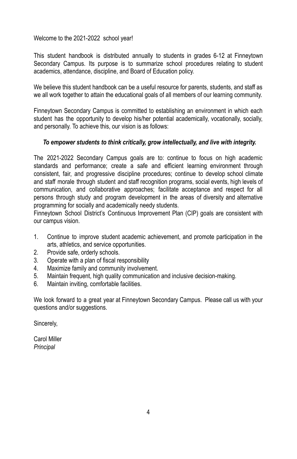Welcome to the 2021-2022 school year!

This student handbook is distributed annually to students in grades 6-12 at Finneytown Secondary Campus. Its purpose is to summarize school procedures relating to student academics, attendance, discipline, and Board of Education policy.

We believe this student handbook can be a useful resource for parents, students, and staff as we all work together to attain the educational goals of all members of our learning community.

Finneytown Secondary Campus is committed to establishing an environment in which each student has the opportunity to develop his/her potential academically, vocationally, socially, and personally. To achieve this, our vision is as follows:

# *To empower students to think critically, grow intellectually, and live with integrity.*

The 2021-2022 Secondary Campus goals are to: continue to focus on high academic standards and performance; create a safe and efficient learning environment through consistent, fair, and progressive discipline procedures; continue to develop school climate and staff morale through student and staff recognition programs, social events, high levels of communication, and collaborative approaches; facilitate acceptance and respect for all persons through study and program development in the areas of diversity and alternative programming for socially and academically needy students.

Finneytown School District's Continuous Improvement Plan (CIP) goals are consistent with our campus vision.

- 1. Continue to improve student academic achievement, and promote participation in the arts, athletics, and service opportunities.
- 2. Provide safe, orderly schools.
- 3. Operate with a plan of fiscal responsibility
- 4. Maximize family and community involvement.
- 5. Maintain frequent, high quality communication and inclusive decision-making.
- 6. Maintain inviting, comfortable facilities.

We look forward to a great year at Finneytown Secondary Campus. Please call us with your questions and/or suggestions.

Sincerely,

Carol Miller *Principal*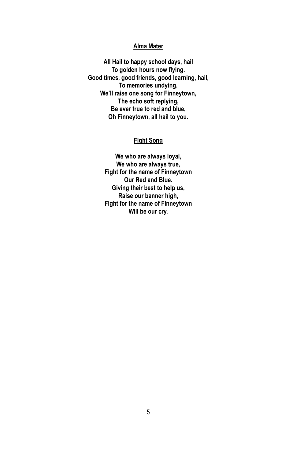# **Alma Mater**

**All Hail to happy school days, hail To golden hours now flying. Good times, good friends, good learning, hail, To memories undying. We'll raise one song for Finneytown, The echo soft replying, Be ever true to red and blue, Oh Finneytown, all hail to you.**

# **Fight Song**

**We who are always loyal, We who are always true, Fight for the name of Finneytown Our Red and Blue. Giving their best to help us, Raise our banner high, Fight for the name of Finneytown Will be our cry.**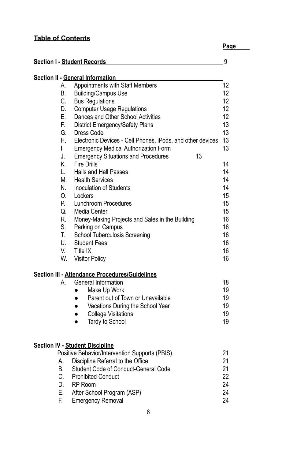# **Table of Contents**

**Page**

|    | Section I - Student Records                                                              | 9  |
|----|------------------------------------------------------------------------------------------|----|
|    | Section II - General Information                                                         |    |
| А. | Appointments with Staff Members                                                          | 12 |
| В. | <b>Building/Campus Use</b>                                                               | 12 |
| С. | <b>Bus Regulations</b>                                                                   | 12 |
| D. | <b>Computer Usage Regulations</b>                                                        | 12 |
| Е. | Dances and Other School Activities                                                       | 12 |
| F. | District Emergency/Safety Plans                                                          | 13 |
| G. | Dress Code                                                                               | 13 |
| Η. | Electronic Devices - Cell Phones, iPods, and other devices                               | 13 |
| I. | <b>Emergency Medical Authorization Form</b>                                              | 13 |
| J. | 13<br><b>Emergency Situations and Procedures</b>                                         |    |
| Κ. | <b>Fire Drills</b>                                                                       | 14 |
| L. | Halls and Hall Passes                                                                    | 14 |
| М. | <b>Health Services</b>                                                                   | 14 |
| N. | Inoculation of Students                                                                  | 14 |
| 0. | Lockers                                                                                  | 15 |
| Р. | Lunchroom Procedures                                                                     | 15 |
| Q. | Media Center                                                                             | 15 |
| R. | Money-Making Projects and Sales in the Building                                          | 16 |
| S. |                                                                                          | 16 |
| T. | Parking on Campus                                                                        | 16 |
|    | School Tuberculosis Screening                                                            |    |
| U. | <b>Student Fees</b>                                                                      | 16 |
| V. | Title IX                                                                                 | 16 |
| W. | <b>Visitor Policy</b>                                                                    | 16 |
|    | Section III - Attendance Procedures/Guidelines                                           |    |
| А. | General Information                                                                      | 18 |
|    | Make Up Work                                                                             | 19 |
|    | Parent out of Town or Unavailable<br>$\bullet$                                           | 19 |
|    | Vacations During the School Year<br>$\bullet$                                            | 19 |
|    | <b>College Visitations</b><br>$\bullet$                                                  | 19 |
|    | Tardy to School<br>$\bullet$                                                             | 19 |
|    |                                                                                          |    |
|    | <b>Section IV - Student Discipline</b><br>Positive Behavior/Intervention Supports (PBIS) | 21 |
| А. | Discipline Referral to the Office                                                        | 21 |
| В. | Student Code of Conduct-General Code                                                     | 21 |
|    |                                                                                          |    |
| C. | <b>Prohibited Conduct</b>                                                                | 22 |
|    | D. RP Room                                                                               | 24 |
| Е. | After School Program (ASP)                                                               | 24 |
| F. | <b>Emergency Removal</b>                                                                 | 24 |
|    |                                                                                          |    |

6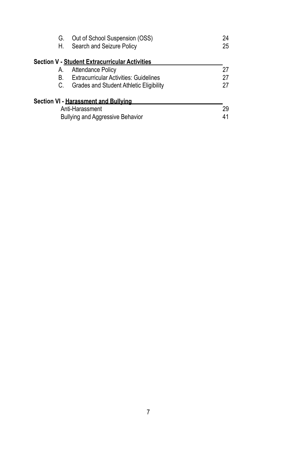| G.<br>Н. | Out of School Suspension (OSS)<br>Search and Seizure Policy | 24<br>25 |
|----------|-------------------------------------------------------------|----------|
|          | Section V - Student Extracurricular Activities              |          |
| А.       | <b>Attendance Policy</b>                                    | 27       |
| В.       | <b>Extracurricular Activities: Guidelines</b>               | 27       |
| C.       | Grades and Student Athletic Eligibility                     | 27       |
|          | Section VI - <u>Harassment and Bullving</u>                 |          |
|          | Anti-Harassment                                             | 29       |
|          | Bullying and Aggressive Behavior                            | 41       |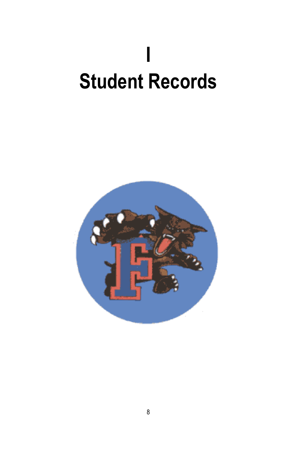# **I Student Records**

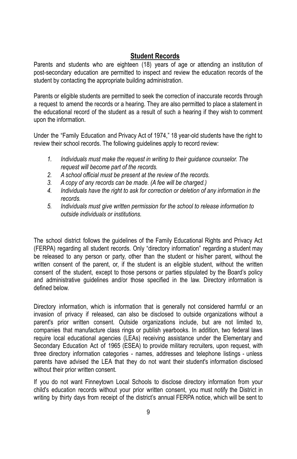# **Student Records**

Parents and students who are eighteen (18) years of age or attending an institution of post-secondary education are permitted to inspect and review the education records of the student by contacting the appropriate building administration.

Parents or eligible students are permitted to seek the correction of inaccurate records through a request to amend the records or a hearing. They are also permitted to place a statement in the educational record of the student as a result of such a hearing if they wish to comment upon the information.

Under the "Family Education and Privacy Act of 1974," 18 year-old students have the right to review their school records. The following guidelines apply to record review:

- *1. Individuals must make the request in writing to their guidance counselor. The request will become part of the records.*
- *2. A school official must be present at the review of the records.*
- *3. A copy of any records can be made. (A fee will be charged.)*
- *4. Individuals have the right to ask for correction or deletion of any information in the records.*
- *5. Individuals must give written permission for the school to release information to outside individuals or institutions.*

The school district follows the guidelines of the Family Educational Rights and Privacy Act (FERPA) regarding all student records. Only "directory information" regarding a student may be released to any person or party, other than the student or his/her parent, without the written consent of the parent, or, if the student is an eligible student, without the written consent of the student, except to those persons or parties stipulated by the Board's policy and administrative guidelines and/or those specified in the law. Directory information is defined below.

Directory information, which is information that is generally not considered harmful or an invasion of privacy if released, can also be disclosed to outside organizations without a parent's prior written consent. Outside organizations include, but are not limited to, companies that manufacture class rings or publish yearbooks. In addition, two federal laws require local educational agencies (LEAs) receiving assistance under the Elementary and Secondary Education Act of 1965 (ESEA) to provide military recruiters, upon request, with three directory information categories - names, addresses and telephone listings - unless parents have advised the LEA that they do not want their student's information disclosed without their prior written consent.

If you do not want Finneytown Local Schools to disclose directory information from your child's education records without your prior written consent, you must notify the District in writing by thirty days from receipt of the district's annual FERPA notice, which will be sent to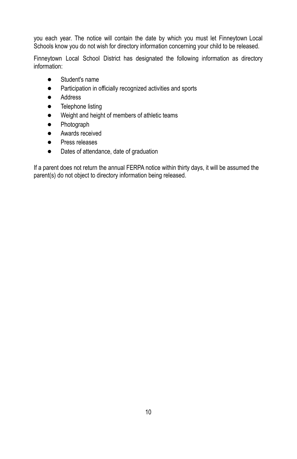you each year. The notice will contain the date by which you must let Finneytown Local Schools know you do not wish for directory information concerning your child to be released.

Finneytown Local School District has designated the following information as directory information:

- Student's name
- Participation in officially recognized activities and sports
- Address
- **•** Telephone listing
- Weight and height of members of athletic teams
- Photograph
- Awards received
- Press releases
- Dates of attendance, date of graduation

If a parent does not return the annual FERPA notice within thirty days, it will be assumed the parent(s) do not object to directory information being released.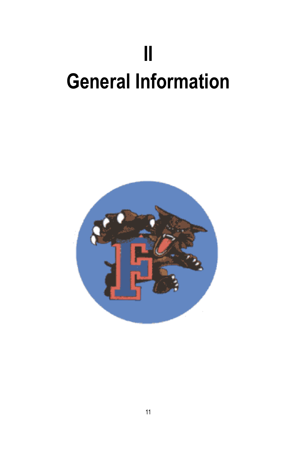# **II General Information**

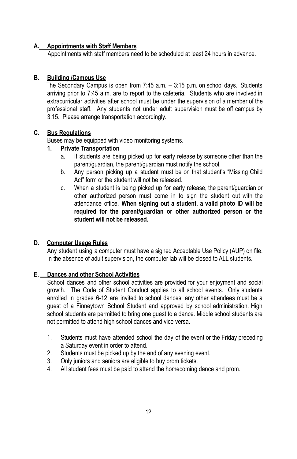# **A. Appointments with Staff Members**

Appointments with staff members need to be scheduled at least 24 hours in advance.

# **B. Building /Campus Use**

The Secondary Campus is open from 7:45 a.m. – 3:15 p.m. on school days. Students arriving prior to 7:45 a.m. are to report to the cafeteria. Students who are involved in extracurricular activities after school must be under the supervision of a member of the professional staff. Any students not under adult supervision must be off campus by 3:15. Please arrange transportation accordingly.

# **C. Bus Regulations**

Buses may be equipped with video monitoring systems.

# **1. Private Transportation**

- a. If students are being picked up for early release by someone other than the parent/guardian, the parent/guardian must notify the school.
- b. Any person picking up a student must be on that student's "Missing Child Act" form or the student will not be released.
- c. When a student is being picked up for early release, the parent/guardian or other authorized person must come in to sign the student out with the attendance office. **When signing out a student, a valid photo ID will be required for the parent/guardian or other authorized person or the student will not be released.**

# **D. Computer Usage Rules**

Any student using a computer must have a signed Acceptable Use Policy (AUP) on file. In the absence of adult supervision, the computer lab will be closed to ALL students.

# **E. Dances and other School Activities**

School dances and other school activities are provided for your enjoyment and social growth. The Code of Student Conduct applies to all school events. Only students enrolled in grades 6-12 are invited to school dances; any other attendees must be a guest of a Finneytown School Student and approved by school administration. High school students are permitted to bring one guest to a dance. Middle school students are not permitted to attend high school dances and vice versa.

- 1. Students must have attended school the day of the event or the Friday preceding a Saturday event in order to attend.
- 2. Students must be picked up by the end of any evening event.
- 3. Only juniors and seniors are eligible to buy prom tickets.
- 4. All student fees must be paid to attend the homecoming dance and prom.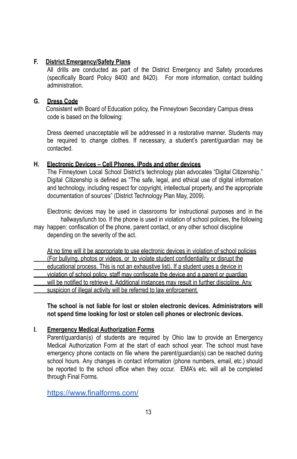# **F. District Emergency/Safety Plans**

All drills are conducted as part of the District Emergency and Safety procedures (specifically Board Policy 8400 and 8420). For more information, contact building administration.

# **G. Dress Code**

Consistent with Board of Education policy, the Finneytown Secondary Campus dress code is based on the following:

Dress deemed unacceptable will be addressed in a restorative manner. Students may be required to change clothes. If necessary, a student's parent/guardian may be contacted.

# **H. Electronic Devices – Cell Phones, iPods and other devices**

The Finneytown Local School District's technology plan advocates "Digital Citizenship." Digital Citizenship is defined as "The safe, legal, and ethical use of digital information and technology, including respect for copyright, intellectual property, and the appropriate documentation of sources" (District Technology Plan May, 2009).

Electronic devices may be used in classrooms for instructional purposes and in the hallways/lunch too. If the phone is used in violation of school policies, the following

may happen: confiscation of the phone, parent contact, or any other school discipline depending on the severity of the act.

At no time will it be appropriate to use electronic devices in violation of school policies (For bullying, photos or videos, or to violate student confidentiality or disrupt the educational process. This is not an exhaustive list). If a student uses a device in violation of school policy, staff may confiscate the device and a parent or guardian will be notified to retrieve it. Additional instances may result in further discipline. Any suspicion of illegal activity will be referred to law enforcement.

**The school is not liable for lost or stolen electronic devices. Administrators will not spend time looking for lost or stolen cell phones or electronic devices.**

# **I. Emergency Medical Authorization Forms**

Parent/guardian(s) of students are required by Ohio law to provide an Emergency Medical Authorization Form at the start of each school year. The school must have emergency phone contacts on file where the parent/guardian(s) can be reached during school hours. Any changes in contact information (phone numbers, email, etc.) should be reported to the school office when they occur. EMA's etc. will all be completed through Final Forms.

<https://www.finalforms.com/>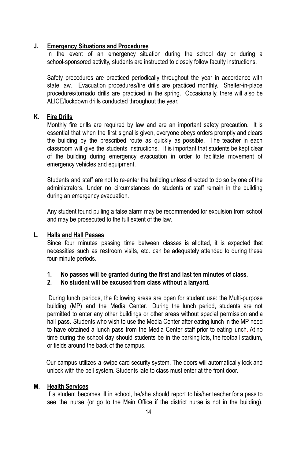#### **J. Emergency Situations and Procedures**

In the event of an emergency situation during the school day or during a school-sponsored activity, students are instructed to closely follow faculty instructions.

Safety procedures are practiced periodically throughout the year in accordance with state law. Evacuation procedures/fire drills are practiced monthly. Shelter-in-place procedures/tornado drills are practiced in the spring. Occasionally, there will also be ALICE/lockdown drills conducted throughout the year.

# **K. Fire Drills**

Monthly fire drills are required by law and are an important safety precaution. It is essential that when the first signal is given, everyone obeys orders promptly and clears the building by the prescribed route as quickly as possible. The teacher in each classroom will give the students instructions. It is important that students be kept clear of the building during emergency evacuation in order to facilitate movement of emergency vehicles and equipment.

Students and staff are not to re-enter the building unless directed to do so by one of the administrators. Under no circumstances do students or staff remain in the building during an emergency evacuation.

Any student found pulling a false alarm may be recommended for expulsion from school and may be prosecuted to the full extent of the law.

# **L. Halls and Hall Passes**

Since four minutes passing time between classes is allotted, it is expected that necessities such as restroom visits, etc. can be adequately attended to during these four-minute periods.

**1. No passes will be granted during the first and last ten minutes of class.**

#### **2. No student will be excused from class without a lanyard.**

During lunch periods, the following areas are open for student use: the Multi-purpose building (MP) and the Media Center. During the lunch period, students are not permitted to enter any other buildings or other areas without special permission and a hall pass. Students who wish to use the Media Center after eating lunch in the MP need to have obtained a lunch pass from the Media Center staff prior to eating lunch. At no time during the school day should students be in the parking lots, the football stadium, or fields around the back of the campus.

Our campus utilizes a swipe card security system. The doors will automatically lock and unlock with the bell system. Students late to class must enter at the front door.

#### **M. Health Services**

If a student becomes ill in school, he/she should report to his/her teacher for a pass to see the nurse (or go to the Main Office if the district nurse is not in the building).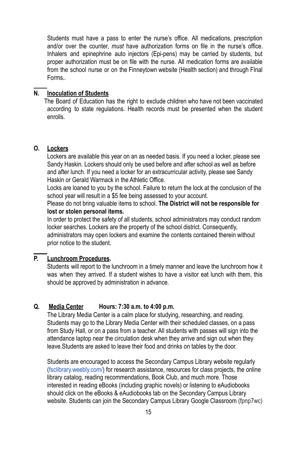Students must have a pass to enter the nurse's office. All medications, prescription and/or over the counter, *must* have authorization forms on file in the nurse's office. Inhalers and epinephrine auto injectors (Epi-pens) may be carried by students, but proper authorization must be on file with the nurse. All medication forms are available from the school nurse or on the Finneytown website (Health section) and through FInal Forms..

# **N. Inoculation of Students**

The Board of Education has the right to exclude children who have not been vaccinated according to state regulations. Health records must be presented when the student enrolls.

#### **O. Lockers**

Lockers are available this year on an as needed basis. If you need a locker, please see Sandy Haskin. Lockers should only be used before and after school as well as before and after lunch. If you need a locker for an extracurricular activity, please see Sandy Haskin or Gerald Warmack in the Athletic Office.

Locks are loaned to you by the school. Failure to return the lock at the conclusion of the school year will result in a \$5 fee being assessed to your account.

Please do not bring valuable items to school. **The District will not be responsible for lost or stolen personal items.**

In order to protect the safety of all students, school administrators may conduct random locker searches. Lockers are the property of the school district. Consequently, administrators may open lockers and examine the contents contained therein without prior notice to the student.

# **P. Lunchroom Procedures.**

Students will report to the lunchroom in a timely manner and leave the lunchroom how it was when they arrived. If a student wishes to have a visitor eat lunch with them, this should be approved by administration in advance.

# **Q. Media Center Hours: 7:30 a.m. to 4:00 p.m.**

The Library Media Center is a calm place for studying, researching, and reading. Students may go to the Library Media Center with their scheduled classes, on a pass from Study Hall, or on a pass from a teacher. All students with passes will sign into the attendance laptop near the circulation desk when they arrive and sign out when they leave.Students are asked to leave their food and drinks on tables by the door.

Students are encouraged to access the Secondary Campus Library website regularly [\(fsclibrary.weebly.com/\)](https://fsclibrary.weebly.com/) for research assistance, resources for class projects, the online library catalog, reading recommendations, Book Club, and much more. Those interested in reading eBooks (including graphic novels) or listening to eAudiobooks should click on the eBooks & eAudiobooks tab on the Secondary Campus Library website. Students can join the Secondary Campus Library Google Classroom (fpnp7wc)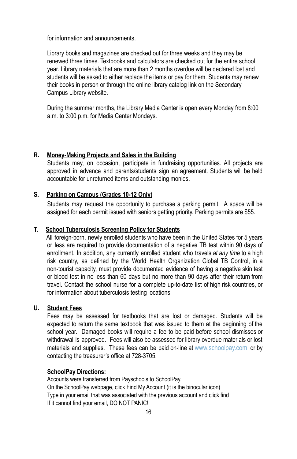for information and announcements.

Library books and magazines are checked out for three weeks and they may be renewed three times. Textbooks and calculators are checked out for the entire school year. Library materials that are more than 2 months overdue will be declared lost and students will be asked to either replace the items or pay for them. Students may renew their books in person or through the online library catalog link on the Secondary Campus Library website.

During the summer months, the Library Media Center is open every Monday from 8:00 a.m. to 3:00 p.m. for Media Center Mondays.

# **R. Money-Making Projects and Sales in the Building**

Students may, on occasion, participate in fundraising opportunities. All projects are approved in advance and parents/students sign an agreement. Students will be held accountable for unreturned items and outstanding monies.

#### **S. Parking on Campus (Grades 10-12 Only)**

Students may request the opportunity to purchase a parking permit. A space will be assigned for each permit issued with seniors getting priority. Parking permits are \$55.

#### **T. School Tuberculosis Screening Policy for Students**

All foreign-born, newly enrolled students who have been in the United States for 5 years or less are required to provide documentation of a negative TB test within 90 days of enrollment. In addition, any currently enrolled student who travels *at any time* to a high risk country, as defined by the World Health Organization Global TB Control, in a non-tourist capacity, must provide documented evidence of having a negative skin test or blood test in no less than 60 days but no more than 90 days after their return from travel. Contact the school nurse for a complete up-to-date list of high risk countries, or for information about tuberculosis testing locations.

# **U. Student Fees**

Fees may be assessed for textbooks that are lost or damaged. Students will be expected to return the same textbook that was issued to them at the beginning of the school year. Damaged books will require a fee to be paid before school dismisses or withdrawal is approved. Fees will also be assessed for library overdue materials or lost materials and supplies. These fees can be paid on-line at [www.schoolpay.com](http://www.schoolpay.com/) or by contacting the treasurer's office at 728-3705.

#### **SchoolPay Directions:**

Accounts were transferred from Payschools to SchoolPay. On the SchoolPay webpage, click Find My Account (it is the binocular icon) Type in your email that was associated with the previous account and click find If it cannot find your email, DO NOT PANIC!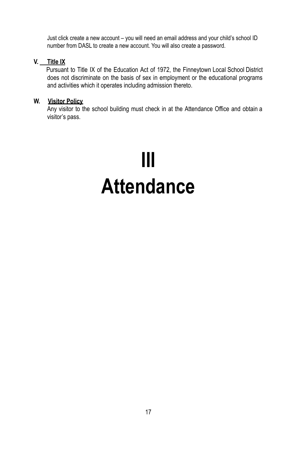Just click create a new account – you will need an email address and your child's school ID number from DASL to create a new account. You will also create a password.

# **V. Title IX**

Pursuant to Title IX of the Education Act of 1972, the Finneytown Local School District does not discriminate on the basis of sex in employment or the educational programs and activities which it operates including admission thereto.

# **W. Visitor Policy**

Any visitor to the school building must check in at the Attendance Office and obtain a visitor's pass.

# **III Attendance**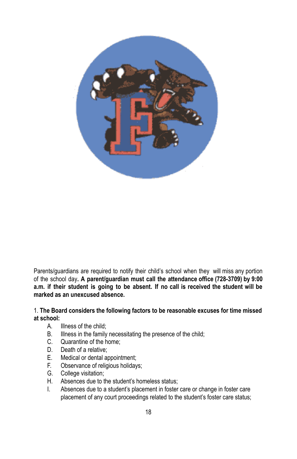

Parents/guardians are required to notify their child's school when they will miss any portion of the school day**. A parent/guardian must call the attendance office (728-3709) by 9:00 a.m. if their student is going to be absent. If no call is received the student will be marked as an unexcused absence.**

# 1. **The Board considers the following factors to be reasonable excuses for time missed at school:**

- A. Illness of the child;
- B. Illness in the family necessitating the presence of the child;
- C. Quarantine of the home;
- D. Death of a relative;
- E. Medical or dental appointment;
- F. Observance of religious holidays;
- G. College visitation;
- H. Absences due to the student's homeless status;
- I. Absences due to a student's placement in foster care or change in foster care placement of any court proceedings related to the student's foster care status;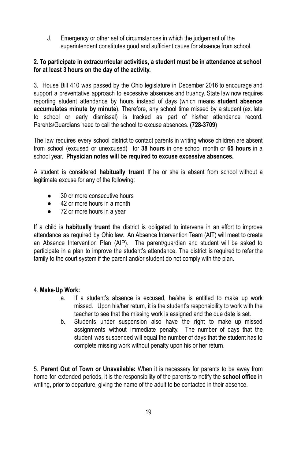J. Emergency or other set of circumstances in which the judgement of the superintendent constitutes good and sufficient cause for absence from school.

# **2. To participate in extracurricular activities, a student must be in attendance at school for at least 3 hours on the day of the activity.**

3. House Bill 410 was passed by the Ohio legislature in December 2016 to encourage and support a preventative approach to excessive absences and truancy. State law now requires reporting student attendance by hours instead of days (which means **student absence accumulates minute by minute**). Therefore, any school time missed by a student (ex. late to school or early dismissal) is tracked as part of his/her attendance record. Parents/Guardians need to call the school to excuse absences. **(728-3709)**

The law requires every school district to contact parents in writing whose children are absent from school (excused or unexcused) for **38 hours** in one school month or **65 hours** in a school year. **Physician notes will be required to excuse excessive absences.**

A student is considered **habitually truant** If he or she is absent from school without a legitimate excuse for any of the following:

- 30 or more consecutive hours
- 42 or more hours in a month
- 72 or more hours in a year

If a child is **habitually truant** the district is obligated to intervene in an effort to improve attendance as required by Ohio law. An Absence Intervention Team (AIT) will meet to create an Absence Intervention Plan (AIP). The parent/guardian and student will be asked to participate in a plan to improve the student's attendance. The district is required to refer the family to the court system if the parent and/or student do not comply with the plan.

# 4. **Make-Up Work:**

- a. If a student's absence is excused, he/she is entitled to make up work missed. Upon his/her return, it is the student's responsibility to work with the teacher to see that the missing work is assigned and the due date is set.
- b. Students under suspension also have the right to make up missed assignments without immediate penalty. The number of days that the student was suspended will equal the number of days that the student has to complete missing work without penalty upon his or her return.

5. **Parent Out of Town or Unavailable:** When it is necessary for parents to be away from home for extended periods, it is the responsibility of the parents to notify the **school office** in writing, prior to departure, giving the name of the adult to be contacted in their absence.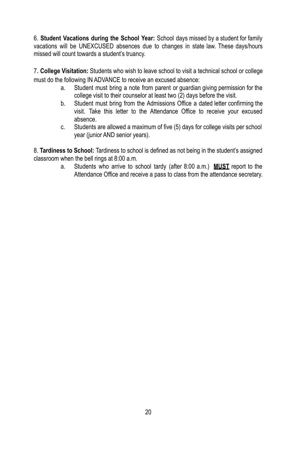6. **Student Vacations during the School Year:** School days missed by a student for family vacations will be UNEXCUSED absences due to changes in state law. These days/hours missed will count towards a student's truancy.

7. **College Visitation:** Students who wish to leave school to visit a technical school or college must do the following IN ADVANCE to receive an excused absence:

- a. Student must bring a note from parent or guardian giving permission for the college visit to their counselor at least two (2) days before the visit.
- b. Student must bring from the Admissions Office a dated letter confirming the visit. Take this letter to the Attendance Office to receive your excused absence.
- c. Students are allowed a maximum of five (5) days for college visits per school year (junior AND senior years).

8. **Tardiness to School:** Tardiness to school is defined as not being in the student's assigned classroom when the bell rings at 8:00 a.m.

a. Students who arrive to school tardy (after 8:00 a.m.) **MUST** report to the Attendance Office and receive a pass to class from the attendance secretary.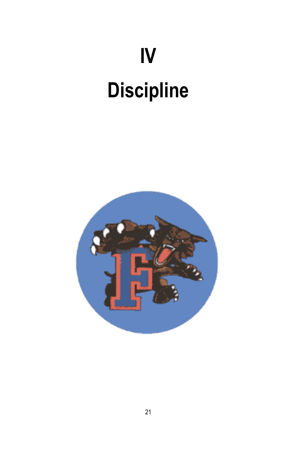# **IV Discipline**

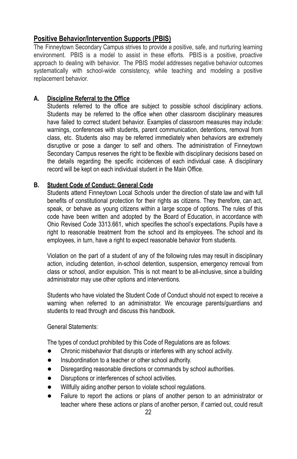# **Positive Behavior/Intervention Supports (PBIS)**

The Finneytown Secondary Campus strives to provide a positive, safe, and nurturing learning environment. PBIS is a model to assist in these efforts. PBIS is a positive, proactive approach to dealing with behavior. The PBIS model addresses negative behavior outcomes systematically with school-wide consistency, while teaching and modeling a positive replacement behavior.

# **A. Discipline Referral to the Office**

Students referred to the office are subject to possible school disciplinary actions. Students may be referred to the office when other classroom disciplinary measures have failed to correct student behavior. Examples of classroom measures may include: warnings, conferences with students, parent communication, detentions, removal from class, etc. Students also may be referred immediately when behaviors are extremely disruptive or pose a danger to self and others. The administration of Finneytown Secondary Campus reserves the right to be flexible with disciplinary decisions based on the details regarding the specific incidences of each individual case. A disciplinary record will be kept on each individual student in the Main Office.

# **B. Student Code of Conduct: General Code**

Students attend Finneytown Local Schools under the direction of state law and with full benefits of constitutional protection for their rights as citizens. They therefore, can act, speak, or behave as young citizens within a large scope of options. The rules of this code have been written and adopted by the Board of Education, in accordance with Ohio Revised Code 3313.661, which specifies the school's expectations. Pupils have a right to reasonable treatment from the school and its employees. The school and its employees, in turn, have a right to expect reasonable behavior from students.

Violation on the part of a student of any of the following rules may result in disciplinary action, including detention, in-school detention, suspension, emergency removal from class or school, and/or expulsion. This is not meant to be all-inclusive, since a building administrator may use other options and interventions.

Students who have violated the Student Code of Conduct should not expect to receive a warning when referred to an administrator. We encourage parents/guardians and students to read through and discuss this handbook.

General Statements:

The types of conduct prohibited by this Code of Regulations are as follows:

- Chronic misbehavior that disrupts or interferes with any school activity.
- Insubordination to a teacher or other school authority.
- Disregarding reasonable directions or commands by school authorities.
- Disruptions or interferences of school activities.
- Willfully aiding another person to violate school regulations.
- Failure to report the actions or plans of another person to an administrator or teacher where these actions or plans of another person, if carried out, could result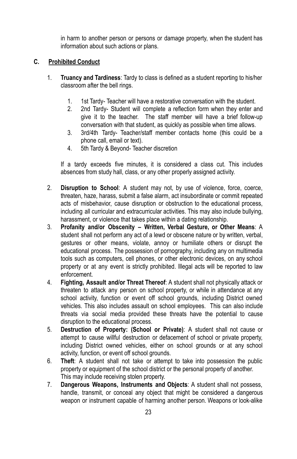in harm to another person or persons or damage property, when the student has information about such actions or plans.

# **C. Prohibited Conduct**

- 1. **Truancy and Tardiness**: Tardy to class is defined as a student reporting to his/her classroom after the bell rings.
	- 1. 1st Tardy- Teacher will have a restorative conversation with the student.
	- 2. 2nd Tardy- Student will complete a reflection form when they enter and give it to the teacher. The staff member will have a brief follow-up conversation with that student, as quickly as possible when time allows.
	- 3. 3rd/4th Tardy- Teacher/staff member contacts home (this could be a phone call, email or text).
	- 4. 5th Tardy & Beyond- Teacher discretion

If a tardy exceeds five minutes, it is considered a class cut. This includes absences from study hall, class, or any other properly assigned activity.

- 2. **Disruption to School**: A student may not, by use of violence, force, coerce, threaten, haze, harass, submit a false alarm, act insubordinate or commit repeated acts of misbehavior, cause disruption or obstruction to the educational process, including all curricular and extracurricular activities. This may also include bullying, harassment, or violence that takes place within a dating relationship.
- 3. **Profanity and/or Obscenity – Written, Verbal Gesture, or Other Means**: A student shall not perform any act of a lewd or obscene nature or by written, verbal, gestures or other means, violate, annoy or humiliate others or disrupt the educational process. The possession of pornography, including any on multimedia tools such as computers, cell phones, or other electronic devices, on any school property or at any event is strictly prohibited. Illegal acts will be reported to law enforcement.
- 4. **Fighting, Assault and/or Threat Thereof**: A student shall not physically attack or threaten to attack any person on school property, or while in attendance at any school activity, function or event off school grounds, including District owned vehicles. This also includes assault on school employees. This can also include threats via social media provided these threats have the potential to cause disruption to the educational process.
- 5. **Destruction of Property: (School or Private)**: A student shall not cause or attempt to cause willful destruction or defacement of school or private property, including District owned vehicles, either on school grounds or at any school activity, function, or event off school grounds.
- 6. **Theft**: A student shall not take or attempt to take into possession the public property or equipment of the school district or the personal property of another. This may include receiving stolen property.
- 7. **Dangerous Weapons, Instruments and Objects**: A student shall not possess, handle, transmit, or conceal any object that might be considered a dangerous weapon or instrument capable of harming another person. Weapons or look-alike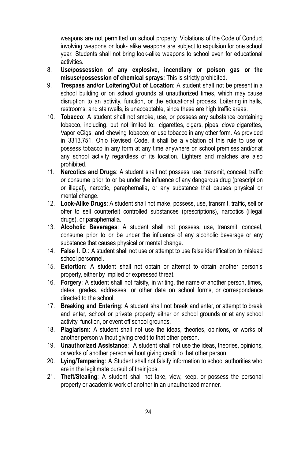weapons are not permitted on school property. Violations of the Code of Conduct involving weapons or look- alike weapons are subject to expulsion for one school year. Students shall not bring look-alike weapons to school even for educational activities.

- 8. **Use/possession of any explosive, incendiary or poison gas or the misuse/possession of chemical sprays:** This is strictly prohibited.
- 9. **Trespass and/or Loitering/Out of Location**: A student shall not be present in a school building or on school grounds at unauthorized times, which may cause disruption to an activity, function, or the educational process. Loitering in halls, restrooms, and stairwells, is unacceptable, since these are high traffic areas.
- 10. **Tobacco**: A student shall not smoke, use, or possess any substance containing tobacco, including, but not limited to: cigarettes, cigars, pipes, clove cigarettes, Vapor eCigs, and chewing tobacco; or use tobacco in any other form. As provided in 3313.751, Ohio Revised Code, it shall be a violation of this rule to use or possess tobacco in any form at any time anywhere on school premises and/or at any school activity regardless of its location. Lighters and matches are also prohibited.
- 11. **Narcotics and Drugs**: A student shall not possess, use, transmit, conceal, traffic or consume prior to or be under the influence of any dangerous drug (prescription or illegal), narcotic, paraphernalia, or any substance that causes physical or mental change.
- 12. **Look-Alike Drugs**: A student shall not make, possess, use, transmit, traffic, sell or offer to sell counterfeit controlled substances (prescriptions), narcotics (illegal drugs), or paraphernalia.
- 13. **Alcoholic Beverages**: A student shall not possess, use, transmit, conceal, consume prior to or be under the influence of any alcoholic beverage or any substance that causes physical or mental change.
- 14. **False I. D**.: A student shall not use or attempt to use false identification to mislead school personnel.
- 15. **Extortion**: A student shall not obtain or attempt to obtain another person's property, either by implied or expressed threat.
- 16. **Forgery**: A student shall not falsify, in writing, the name of another person, times, dates, grades, addresses, or other data on school forms, or correspondence directed to the school.
- 17. **Breaking and Entering**: A student shall not break and enter, or attempt to break and enter, school or private property either on school grounds or at any school activity, function, or event off school grounds.
- 18. **Plagiarism**: A student shall not use the ideas, theories, opinions, or works of another person without giving credit to that other person.
- 19. **Unauthorized Assistance**: A student shall not use the ideas, theories, opinions, or works of another person without giving credit to that other person.
- 20. **Lying/Tampering**: A Student shall not falsify information to school authorities who are in the legitimate pursuit of their jobs.
- 21. **Theft/Stealing**: A student shall not take, view, keep, or possess the personal property or academic work of another in an unauthorized manner.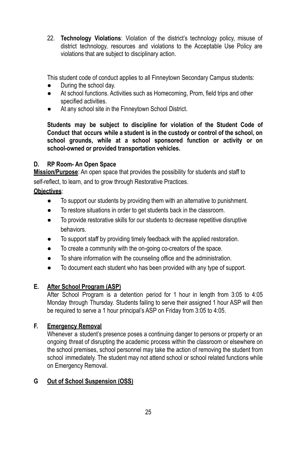22. **Technology Violations**: Violation of the district's technology policy, misuse of district technology, resources and violations to the Acceptable Use Policy are violations that are subject to disciplinary action.

This student code of conduct applies to all Finneytown Secondary Campus students:

- During the school day.
- At school functions. Activities such as Homecoming, Prom, field trips and other specified activities.
- At any school site in the Finneytown School District.

**Students may be subject to discipline for violation of the Student Code of Conduct that occurs while a student is in the custody or control of the school, on school grounds, while at a school sponsored function or activity or on school-owned or provided transportation vehicles.**

# **D. RP Room- An Open Space**

**Mission/Purpose**: An open space that provides the possibility for students and staff to self-reflect, to learn, and to grow through Restorative Practices.

# **Objectives**:

- To support our students by providing them with an alternative to punishment.
- To restore situations in order to get students back in the classroom.
- To provide restorative skills for our students to decrease repetitive disruptive behaviors.
- To support staff by providing timely feedback with the applied restoration.
- To create a community with the on-going co-creators of the space.
- To share information with the counseling office and the administration.
- To document each student who has been provided with any type of support.

# **E. After School Program (ASP)**

After School Program is a detention period for 1 hour in length from 3:05 to 4:05 Monday through Thursday. Students failing to serve their assigned 1 hour ASP will then be required to serve a 1 hour principal's ASP on Friday from 3:05 to 4:05.

# **F. Emergency Removal**

Whenever a student's presence poses a continuing danger to persons or property or an ongoing threat of disrupting the academic process within the classroom or elsewhere on the school premises, school personnel may take the action of removing the student from school immediately. The student may not attend school or school related functions while on Emergency Removal.

# **G Out of School Suspension (OSS)**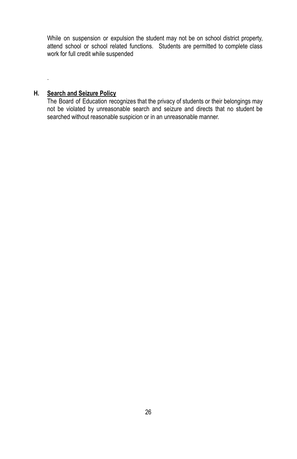While on suspension or expulsion the student may not be on school district property, attend school or school related functions. Students are permitted to complete class work for full credit while suspended

# **H. Search and Seizure Policy**

.

The Board of Education recognizes that the privacy of students or their belongings may not be violated by unreasonable search and seizure and directs that no student be searched without reasonable suspicion or in an unreasonable manner.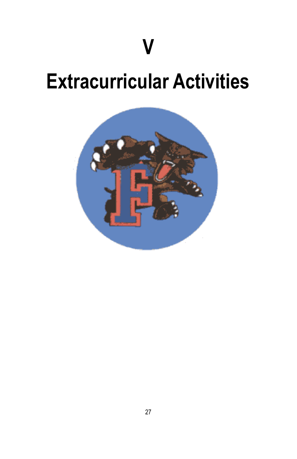# **Extracurricular Activities**

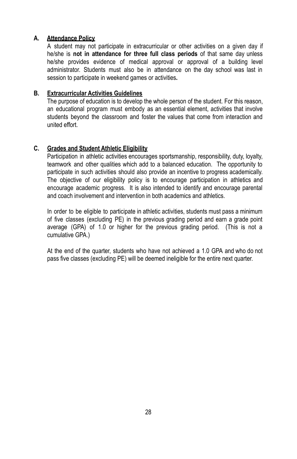# **A. Attendance Policy**

A student may not participate in extracurricular or other activities on a given day if he/she is **not in attendance for three full class periods** of that same day unless he/she provides evidence of medical approval or approval of a building level administrator. Students must also be in attendance on the day school was last in session to participate in weekend games or activities**.**

# **B. Extracurricular Activities Guidelines**

The purpose of education is to develop the whole person of the student. For this reason, an educational program must embody as an essential element, activities that involve students beyond the classroom and foster the values that come from interaction and united effort.

# **C. Grades and Student Athletic Eligibility**

Participation in athletic activities encourages sportsmanship, responsibility, duty, loyalty, teamwork and other qualities which add to a balanced education. The opportunity to participate in such activities should also provide an incentive to progress academically. The objective of our eligibility policy is to encourage participation in athletics and encourage academic progress. It is also intended to identify and encourage parental and coach involvement and intervention in both academics and athletics.

In order to be eligible to participate in athletic activities, students must pass a minimum of five classes (excluding PE) in the previous grading period and earn a grade point average (GPA) of 1.0 or higher for the previous grading period. (This is not a cumulative GPA.)

At the end of the quarter, students who have not achieved a 1.0 GPA and who do not pass five classes (excluding PE) will be deemed ineligible for the entire next quarter.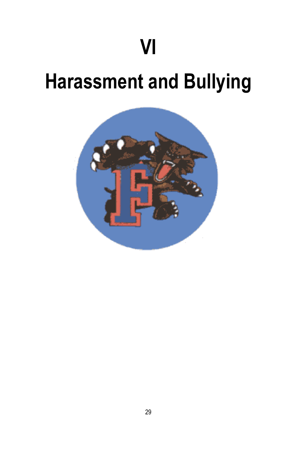# **Harassment and Bullying**

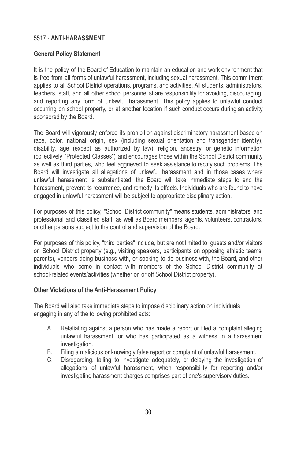# 5517 - **ANTI-HARASSMENT**

# **General Policy Statement**

It is the policy of the Board of Education to maintain an education and work environment that is free from all forms of unlawful harassment, including sexual harassment. This commitment applies to all School District operations, programs, and activities. All students, administrators, teachers, staff, and all other school personnel share responsibility for avoiding, discouraging, and reporting any form of unlawful harassment. This policy applies to unlawful conduct occurring on school property, or at another location if such conduct occurs during an activity sponsored by the Board.

The Board will vigorously enforce its prohibition against discriminatory harassment based on race, color, national origin, sex (including sexual orientation and transgender identity), disability, age (except as authorized by law), religion, ancestry, or genetic information (collectively "Protected Classes") and encourages those within the School District community as well as third parties, who feel aggrieved to seek assistance to rectify such problems. The Board will investigate all allegations of unlawful harassment and in those cases where unlawful harassment is substantiated, the Board will take immediate steps to end the harassment, prevent its recurrence, and remedy its effects. Individuals who are found to have engaged in unlawful harassment will be subject to appropriate disciplinary action.

For purposes of this policy, "School District community" means students, administrators, and professional and classified staff, as well as Board members, agents, volunteers, contractors, or other persons subject to the control and supervision of the Board.

For purposes of this policy, "third parties" include, but are not limited to, guests and/or visitors on School District property (e.g., visiting speakers, participants on opposing athletic teams, parents), vendors doing business with, or seeking to do business with, the Board, and other individuals who come in contact with members of the School District community at school-related events/activities (whether on or off School District property).

# **Other Violations of the Anti-Harassment Policy**

The Board will also take immediate steps to impose disciplinary action on individuals engaging in any of the following prohibited acts:

- A. Retaliating against a person who has made a report or filed a complaint alleging unlawful harassment, or who has participated as a witness in a harassment investigation.
- B. Filing a malicious or knowingly false report or complaint of unlawful harassment.
- C. Disregarding, failing to investigate adequately, or delaying the investigation of allegations of unlawful harassment, when responsibility for reporting and/or investigating harassment charges comprises part of one's supervisory duties.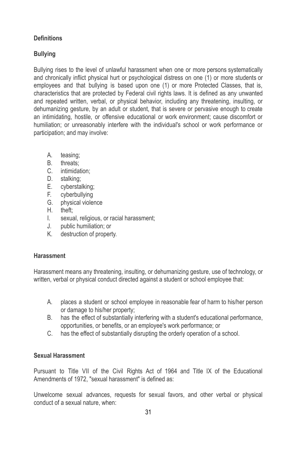# **Definitions**

# **Bullying**

Bullying rises to the level of unlawful harassment when one or more persons systematically and chronically inflict physical hurt or psychological distress on one (1) or more students or employees and that bullying is based upon one (1) or more Protected Classes, that is, characteristics that are protected by Federal civil rights laws. It is defined as any unwanted and repeated written, verbal, or physical behavior, including any threatening, insulting, or dehumanizing gesture, by an adult or student, that is severe or pervasive enough to create an intimidating, hostile, or offensive educational or work environment; cause discomfort or humiliation; or unreasonably interfere with the individual's school or work performance or participation; and may involve:

- A. teasing;
- B. threats;
- C. intimidation;
- D. stalking;
- E. cyberstalking;
- F. cyberbullying
- G. physical violence
- H. theft;
- I. sexual, religious, or racial harassment;
- J. public humiliation; or
- K. destruction of property.

# **Harassment**

Harassment means any threatening, insulting, or dehumanizing gesture, use of technology, or written, verbal or physical conduct directed against a student or school employee that:

- A. places a student or school employee in reasonable fear of harm to his/her person or damage to his/her property;
- B. has the effect of substantially interfering with a student's educational performance, opportunities, or benefits, or an employee's work performance; or
- C. has the effect of substantially disrupting the orderly operation of a school.

# **Sexual Harassment**

Pursuant to Title VII of the Civil Rights Act of 1964 and Title IX of the Educational Amendments of 1972, "sexual harassment" is defined as:

Unwelcome sexual advances, requests for sexual favors, and other verbal or physical conduct of a sexual nature, when: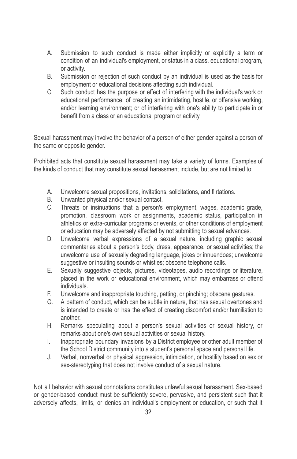- A. Submission to such conduct is made either implicitly or explicitly a term or condition of an individual's employment, or status in a class, educational program, or activity.
- B. Submission or rejection of such conduct by an individual is used as the basis for employment or educational decisions affecting such individual.
- C. Such conduct has the purpose or effect of interfering with the individual's work or educational performance; of creating an intimidating, hostile, or offensive working, and/or learning environment; or of interfering with one's ability to participate in or benefit from a class or an educational program or activity.

Sexual harassment may involve the behavior of a person of either gender against a person of the same or opposite gender.

Prohibited acts that constitute sexual harassment may take a variety of forms. Examples of the kinds of conduct that may constitute sexual harassment include, but are not limited to:

- A. Unwelcome sexual propositions, invitations, solicitations, and flirtations.
- B. Unwanted physical and/or sexual contact.
- C. Threats or insinuations that a person's employment, wages, academic grade, promotion, classroom work or assignments, academic status, participation in athletics or extra-curricular programs or events, or other conditions of employment or education may be adversely affected by not submitting to sexual advances.
- D. Unwelcome verbal expressions of a sexual nature, including graphic sexual commentaries about a person's body, dress, appearance, or sexual activities; the unwelcome use of sexually degrading language, jokes or innuendoes; unwelcome suggestive or insulting sounds or whistles; obscene telephone calls.
- E. Sexually suggestive objects, pictures, videotapes, audio recordings or literature, placed in the work or educational environment, which may embarrass or offend individuals.
- F. Unwelcome and inappropriate touching, patting, or pinching; obscene gestures.
- G. A pattern of conduct, which can be subtle in nature, that has sexual overtones and is intended to create or has the effect of creating discomfort and/or humiliation to another.
- H. Remarks speculating about a person's sexual activities or sexual history, or remarks about one's own sexual activities or sexual history.
- I. Inappropriate boundary invasions by a District employee or other adult member of the School District community into a student's personal space and personal life.
- J. Verbal, nonverbal or physical aggression, intimidation, or hostility based on sex or sex-stereotyping that does not involve conduct of a sexual nature.

Not all behavior with sexual connotations constitutes unlawful sexual harassment. Sex-based or gender-based conduct must be sufficiently severe, pervasive, and persistent such that it adversely affects, limits, or denies an individual's employment or education, or such that it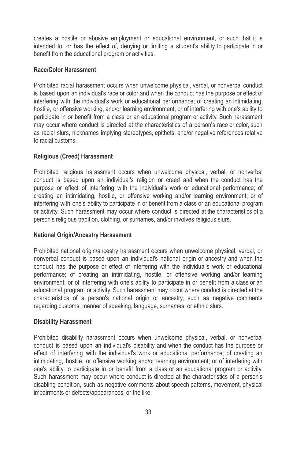creates a hostile or abusive employment or educational environment, or such that it is intended to, or has the effect of, denying or limiting a student's ability to participate in or benefit from the educational program or activities.

#### **Race/Color Harassment**

Prohibited racial harassment occurs when unwelcome physical, verbal, or nonverbal conduct is based upon an individual's race or color and when the conduct has the purpose or effect of interfering with the individual's work or educational performance; of creating an intimidating, hostile, or offensive working, and/or learning environment; or of interfering with one's ability to participate in or benefit from a class or an educational program or activity. Such harassment may occur where conduct is directed at the characteristics of a person's race or color, such as racial slurs, nicknames implying stereotypes, epithets, and/or negative references relative to racial customs.

# **Religious (Creed) Harassment**

Prohibited religious harassment occurs when unwelcome physical, verbal, or nonverbal conduct is based upon an individual's religion or creed and when the conduct has the purpose or effect of interfering with the individual's work or educational performance; of creating an intimidating, hostile, or offensive working and/or learning environment; or of interfering with one's ability to participate in or benefit from a class or an educational program or activity. Such harassment may occur where conduct is directed at the characteristics of a person's religious tradition, clothing, or surnames, and/or involves religious slurs.

# **National Origin/Ancestry Harassment**

Prohibited national origin/ancestry harassment occurs when unwelcome physical, verbal, or nonverbal conduct is based upon an individual's national origin or ancestry and when the conduct has the purpose or effect of interfering with the individual's work or educational performance; of creating an intimidating, hostile, or offensive working and/or learning environment; or of interfering with one's ability to participate in or benefit from a class or an educational program or activity. Such harassment may occur where conduct is directed at the characteristics of a person's national origin or ancestry, such as negative comments regarding customs, manner of speaking, language, surnames, or ethnic slurs.

# **Disability Harassment**

Prohibited disability harassment occurs when unwelcome physical, verbal, or nonverbal conduct is based upon an individual's disability and when the conduct has the purpose or effect of interfering with the individual's work or educational performance; of creating an intimidating, hostile, or offensive working and/or learning environment; or of interfering with one's ability to participate in or benefit from a class or an educational program or activity. Such harassment may occur where conduct is directed at the characteristics of a person's disabling condition, such as negative comments about speech patterns, movement, physical impairments or defects/appearances, or the like.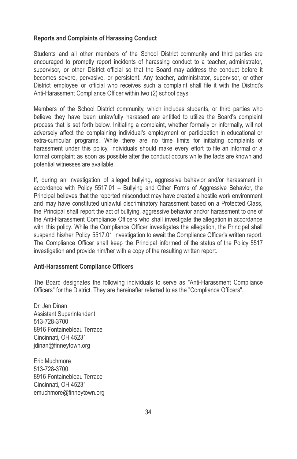#### **Reports and Complaints of Harassing Conduct**

Students and all other members of the School District community and third parties are encouraged to promptly report incidents of harassing conduct to a teacher, administrator, supervisor, or other District official so that the Board may address the conduct before it becomes severe, pervasive, or persistent. Any teacher, administrator, supervisor, or other District employee or official who receives such a complaint shall file it with the District's Anti-Harassment Compliance Officer within two (2) school days.

Members of the School District community, which includes students, or third parties who believe they have been unlawfully harassed are entitled to utilize the Board's complaint process that is set forth below. Initiating a complaint, whether formally or informally, will not adversely affect the complaining individual's employment or participation in educational or extra-curricular programs. While there are no time limits for initiating complaints of harassment under this policy, individuals should make every effort to file an informal or a formal complaint as soon as possible after the conduct occurs while the facts are known and potential witnesses are available.

If, during an investigation of alleged bullying, aggressive behavior and/or harassment in accordance with Policy 5517.01 – Bullying and Other Forms of Aggressive Behavior, the Principal believes that the reported misconduct may have created a hostile work environment and may have constituted unlawful discriminatory harassment based on a Protected Class, the Principal shall report the act of bullying, aggressive behavior and/or harassment to one of the Anti-Harassment Compliance Officers who shall investigate the allegation in accordance with this policy. While the Compliance Officer investigates the allegation, the Principal shall suspend his/her Policy 5517.01 investigation to await the Compliance Officer's written report. The Compliance Officer shall keep the Principal informed of the status of the Policy 5517 investigation and provide him/her with a copy of the resulting written report.

#### **Anti-Harassment Compliance Officers**

The Board designates the following individuals to serve as "Anti-Harassment Compliance Officers" for the District. They are hereinafter referred to as the "Compliance Officers".

Dr. Jen Dinan Assistant Superintendent 513-728-3700 8916 Fontainebleau Terrace Cincinnati, OH 45231 jdinan@finneytown.org

Eric Muchmore 513-728-3700 8916 Fontainebleau Terrace Cincinnati, OH 45231 emuchmore@finneytown.org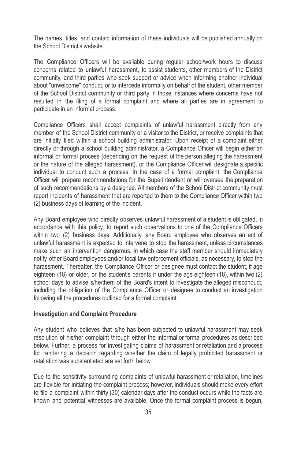The names, titles, and contact information of these individuals will be published annually on the School District's website.

The Compliance Officers will be available during regular school/work hours to discuss concerns related to unlawful harassment, to assist students, other members of the District community, and third parties who seek support or advice when informing another individual about "unwelcome" conduct, or to intercede informally on behalf of the student, other member of the School District community or third party in those instances where concerns have not resulted in the filing of a formal complaint and where all parties are in agreement to participate in an informal process.

Compliance Officers shall accept complaints of unlawful harassment directly from any member of the School District community or a visitor to the District, or receive complaints that are initially filed within a school building administrator. Upon receipt of a complaint either directly or through a school building administrator, a Compliance Officer will begin either an informal or formal process (depending on the request of the person alleging the harassment or the nature of the alleged harassment), or the Compliance Officer will designate a specific individual to conduct such a process. In the case of a formal complaint, the Compliance Officer will prepare recommendations for the Superintendent or will oversee the preparation of such recommendations by a designee. All members of the School District community must report incidents of harassment that are reported to them to the Compliance Officer within two (2) business days of learning of the incident.

Any Board employee who directly observes unlawful harassment of a student is obligated, in accordance with this policy, to report such observations to one of the Compliance Officers within two (2) business days. Additionally, any Board employee who observes an act of unlawful harassment is expected to intervene to stop the harassment, unless circumstances make such an intervention dangerous, in which case the staff member should immediately notify other Board employees and/or local law enforcement officials, as necessary, to stop the harassment. Thereafter, the Compliance Officer or designee must contact the student, if age eighteen (18) or older, or the student's parents if under the age eighteen (18), within two (2) school days to advise s/he/them of the Board's intent to investigate the alleged misconduct, including the obligation of the Compliance Officer or designee to conduct an investigation following all the procedures outlined for a formal complaint.

#### **Investigation and Complaint Procedure**

Any student who believes that s/he has been subjected to unlawful harassment may seek resolution of his/her complaint through either the informal or formal procedures as described below. Further, a process for investigating claims of harassment or retaliation and a process for rendering a decision regarding whether the claim of legally prohibited harassment or retaliation was substantiated are set forth below.

Due to the sensitivity surrounding complaints of unlawful harassment or retaliation, timelines are flexible for initiating the complaint process; however, individuals should make every effort to file a complaint within thirty (30) calendar days after the conduct occurs while the facts are known and potential witnesses are available. Once the formal complaint process is begun,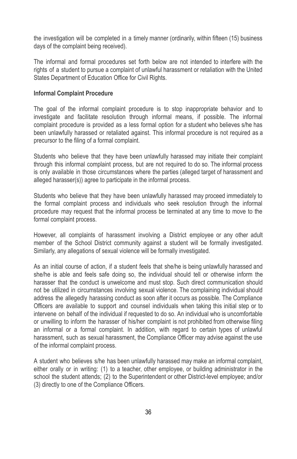the investigation will be completed in a timely manner (ordinarily, within fifteen (15) business days of the complaint being received).

The informal and formal procedures set forth below are not intended to interfere with the rights of a student to pursue a complaint of unlawful harassment or retaliation with the United States Department of Education Office for Civil Rights.

#### **Informal Complaint Procedure**

The goal of the informal complaint procedure is to stop inappropriate behavior and to investigate and facilitate resolution through informal means, if possible. The informal complaint procedure is provided as a less formal option for a student who believes s/he has been unlawfully harassed or retaliated against. This informal procedure is not required as a precursor to the filing of a formal complaint.

Students who believe that they have been unlawfully harassed may initiate their complaint through this informal complaint process, but are not required to do so. The informal process is only available in those circumstances where the parties (alleged target of harassment and alleged harasser(s)) agree to participate in the informal process.

Students who believe that they have been unlawfully harassed may proceed immediately to the formal complaint process and individuals who seek resolution through the informal procedure may request that the informal process be terminated at any time to move to the formal complaint process.

However, all complaints of harassment involving a District employee or any other adult member of the School District community against a student will be formally investigated. Similarly, any allegations of sexual violence will be formally investigated.

As an initial course of action, if a student feels that she/he is being unlawfully harassed and she/he is able and feels safe doing so, the individual should tell or otherwise inform the harasser that the conduct is unwelcome and must stop. Such direct communication should not be utilized in circumstances involving sexual violence. The complaining individual should address the allegedly harassing conduct as soon after it occurs as possible. The Compliance Officers are available to support and counsel individuals when taking this initial step or to intervene on behalf of the individual if requested to do so. An individual who is uncomfortable or unwilling to inform the harasser of his/her complaint is not prohibited from otherwise filing an informal or a formal complaint. In addition, with regard to certain types of unlawful harassment, such as sexual harassment, the Compliance Officer may advise against the use of the informal complaint process.

A student who believes s/he has been unlawfully harassed may make an informal complaint, either orally or in writing: (1) to a teacher, other employee, or building administrator in the school the student attends; (2) to the Superintendent or other District-level employee; and/or (3) directly to one of the Compliance Officers.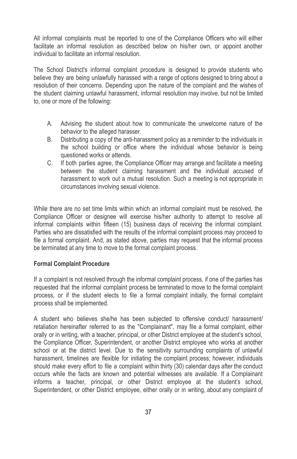All informal complaints must be reported to one of the Compliance Officers who will either facilitate an informal resolution as described below on his/her own, or appoint another individual to facilitate an informal resolution.

The School District's informal complaint procedure is designed to provide students who believe they are being unlawfully harassed with a range of options designed to bring about a resolution of their concerns. Depending upon the nature of the complaint and the wishes of the student claiming unlawful harassment, informal resolution may involve, but not be limited to, one or more of the following:

- A. Advising the student about how to communicate the unwelcome nature of the behavior to the alleged harasser.
- B. Distributing a copy of the anti-harassment policy as a reminder to the individuals in the school building or office where the individual whose behavior is being questioned works or attends.
- C. If both parties agree, the Compliance Officer may arrange and facilitate a meeting between the student claiming harassment and the individual accused of harassment to work out a mutual resolution. Such a meeting is not appropriate in circumstances involving sexual violence.

While there are no set time limits within which an informal complaint must be resolved, the Compliance Officer or designee will exercise his/her authority to attempt to resolve all informal complaints within fifteen (15) business days of receiving the informal complaint. Parties who are dissatisfied with the results of the informal complaint process may proceed to file a formal complaint. And, as stated above, parties may request that the informal process be terminated at any time to move to the formal complaint process.

#### **Formal Complaint Procedure**

If a complaint is not resolved through the informal complaint process, if one of the parties has requested that the informal complaint process be terminated to move to the formal complaint process, or if the student elects to file a formal complaint initially, the formal complaint process shall be implemented.

A student who believes she/he has been subjected to offensive conduct/ harassment/ retaliation hereinafter referred to as the "Complainant", may file a formal complaint, either orally or in writing, with a teacher, principal, or other District employee at the student's school, the Compliance Officer, Superintendent, or another District employee who works at another school or at the district level. Due to the sensitivity surrounding complaints of unlawful harassment, timelines are flexible for initiating the complaint process; however, individuals should make every effort to file a complaint within thirty (30) calendar days after the conduct occurs while the facts are known and potential witnesses are available. If a Complainant informs a teacher, principal, or other District employee at the student's school, Superintendent, or other District employee, either orally or in writing, about any complaint of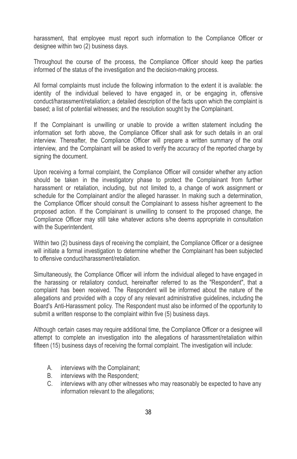harassment, that employee must report such information to the Compliance Officer or designee within two (2) business days.

Throughout the course of the process, the Compliance Officer should keep the parties informed of the status of the investigation and the decision-making process.

All formal complaints must include the following information to the extent it is available: the identity of the individual believed to have engaged in, or be engaging in, offensive conduct/harassment/retaliation; a detailed description of the facts upon which the complaint is based; a list of potential witnesses; and the resolution sought by the Complainant.

If the Complainant is unwilling or unable to provide a written statement including the information set forth above, the Compliance Officer shall ask for such details in an oral interview. Thereafter, the Compliance Officer will prepare a written summary of the oral interview, and the Complainant will be asked to verify the accuracy of the reported charge by signing the document.

Upon receiving a formal complaint, the Compliance Officer will consider whether any action should be taken in the investigatory phase to protect the Complainant from further harassment or retaliation, including, but not limited to, a change of work assignment or schedule for the Complainant and/or the alleged harasser. In making such a determination, the Compliance Officer should consult the Complainant to assess his/her agreement to the proposed action. If the Complainant is unwilling to consent to the proposed change, the Compliance Officer may still take whatever actions s/he deems appropriate in consultation with the Superintendent.

Within two (2) business days of receiving the complaint, the Compliance Officer or a designee will initiate a formal investigation to determine whether the Complainant has been subjected to offensive conduct/harassment/retaliation.

Simultaneously, the Compliance Officer will inform the individual alleged to have engaged in the harassing or retaliatory conduct, hereinafter referred to as the "Respondent", that a complaint has been received. The Respondent will be informed about the nature of the allegations and provided with a copy of any relevant administrative guidelines, including the Board's Anti-Harassment policy. The Respondent must also be informed of the opportunity to submit a written response to the complaint within five (5) business days.

Although certain cases may require additional time, the Compliance Officer or a designee will attempt to complete an investigation into the allegations of harassment/retaliation within fifteen (15) business days of receiving the formal complaint. The investigation will include:

- A. interviews with the Complainant;
- B. interviews with the Respondent;
- C. interviews with any other witnesses who may reasonably be expected to have any information relevant to the allegations;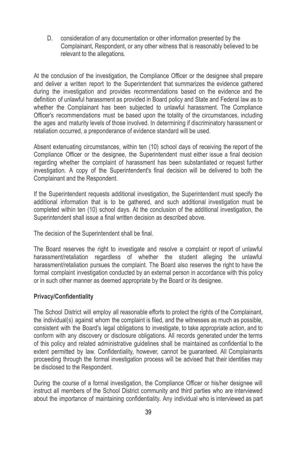D. consideration of any documentation or other information presented by the Complainant, Respondent, or any other witness that is reasonably believed to be relevant to the allegations.

At the conclusion of the investigation, the Compliance Officer or the designee shall prepare and deliver a written report to the Superintendent that summarizes the evidence gathered during the investigation and provides recommendations based on the evidence and the definition of unlawful harassment as provided in Board policy and State and Federal law as to whether the Complainant has been subjected to unlawful harassment. The Compliance Officer's recommendations must be based upon the totality of the circumstances, including the ages and maturity levels of those involved. In determining if discriminatory harassment or retaliation occurred, a preponderance of evidence standard will be used.

Absent extenuating circumstances, within ten (10) school days of receiving the report of the Compliance Officer or the designee, the Superintendent must either issue a final decision regarding whether the complaint of harassment has been substantiated or request further investigation. A copy of the Superintendent's final decision will be delivered to both the Complainant and the Respondent.

If the Superintendent requests additional investigation, the Superintendent must specify the additional information that is to be gathered, and such additional investigation must be completed within ten (10) school days. At the conclusion of the additional investigation, the Superintendent shall issue a final written decision as described above.

The decision of the Superintendent shall be final.

The Board reserves the right to investigate and resolve a complaint or report of unlawful harassment/retaliation regardless of whether the student alleging the unlawful harassment/retaliation pursues the complaint. The Board also reserves the right to have the formal complaint investigation conducted by an external person in accordance with this policy or in such other manner as deemed appropriate by the Board or its designee.

# **Privacy/Confidentiality**

The School District will employ all reasonable efforts to protect the rights of the Complainant, the individual(s) against whom the complaint is filed, and the witnesses as much as possible, consistent with the Board's legal obligations to investigate, to take appropriate action, and to conform with any discovery or disclosure obligations. All records generated under the terms of this policy and related administrative guidelines shall be maintained as confidential to the extent permitted by law. Confidentiality, however, cannot be guaranteed. All Complainants proceeding through the formal investigation process will be advised that their identities may be disclosed to the Respondent.

During the course of a formal investigation, the Compliance Officer or his/her designee will instruct all members of the School District community and third parties who are interviewed about the importance of maintaining confidentiality. Any individual who is interviewed as part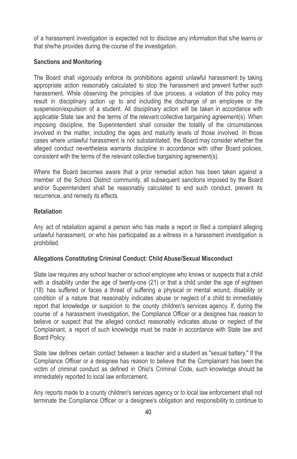of a harassment investigation is expected not to disclose any information that s/he learns or that she/he provides during the course of the investigation.

# **Sanctions and Monitoring**

The Board shall vigorously enforce its prohibitions against unlawful harassment by taking appropriate action reasonably calculated to stop the harassment and prevent further such harassment. While observing the principles of due process, a violation of this policy may result in disciplinary action up to and including the discharge of an employee or the suspension/expulsion of a student. All disciplinary action will be taken in accordance with applicable State law and the terms of the relevant collective bargaining agreement(s). When imposing discipline, the Superintendent shall consider the totality of the circumstances involved in the matter, including the ages and maturity levels of those involved. In those cases where unlawful harassment is not substantiated, the Board may consider whether the alleged conduct nevertheless warrants discipline in accordance with other Board policies, consistent with the terms of the relevant collective bargaining agreement(s).

Where the Board becomes aware that a prior remedial action has been taken against a member of the School District community, all subsequent sanctions imposed by the Board and/or Superintendent shall be reasonably calculated to end such conduct, prevent its recurrence, and remedy its effects.

#### **Retaliation**

Any act of retaliation against a person who has made a report or filed a complaint alleging unlawful harassment, or who has participated as a witness in a harassment investigation is prohibited.

# **Allegations Constituting Criminal Conduct: Child Abuse/Sexual Misconduct**

State law requires any school teacher or school employee who knows or suspects that a child with a disability under the age of twenty-one (21) or that a child under the age of eighteen (18) has suffered or faces a threat of suffering a physical or mental wound, disability or condition of a nature that reasonably indicates abuse or neglect of a child to immediately report that knowledge or suspicion to the county children's services agency. If, during the course of a harassment investigation, the Compliance Officer or a designee has reason to believe or suspect that the alleged conduct reasonably indicates abuse or neglect of the Complainant, a report of such knowledge must be made in accordance with State law and Board Policy.

State law defines certain contact between a teacher and a student as "sexual battery." If the Compliance Officer or a designee has reason to believe that the Complainant has been the victim of criminal conduct as defined in Ohio's Criminal Code, such knowledge should be immediately reported to local law enforcement.

Any reports made to a county children's services agency or to local law enforcement shall not terminate the Compliance Officer or a designee's obligation and responsibility to continue to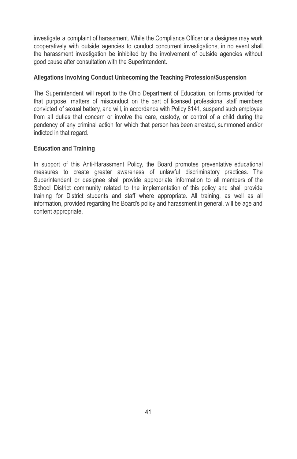investigate a complaint of harassment. While the Compliance Officer or a designee may work cooperatively with outside agencies to conduct concurrent investigations, in no event shall the harassment investigation be inhibited by the involvement of outside agencies without good cause after consultation with the Superintendent.

# **Allegations Involving Conduct Unbecoming the Teaching Profession/Suspension**

The Superintendent will report to the Ohio Department of Education, on forms provided for that purpose, matters of misconduct on the part of licensed professional staff members convicted of sexual battery, and will, in accordance with Policy 8141, suspend such employee from all duties that concern or involve the care, custody, or control of a child during the pendency of any criminal action for which that person has been arrested, summoned and/or indicted in that regard.

# **Education and Training**

In support of this Anti-Harassment Policy, the Board promotes preventative educational measures to create greater awareness of unlawful discriminatory practices. The Superintendent or designee shall provide appropriate information to all members of the School District community related to the implementation of this policy and shall provide training for District students and staff where appropriate. All training, as well as all information, provided regarding the Board's policy and harassment in general, will be age and content appropriate.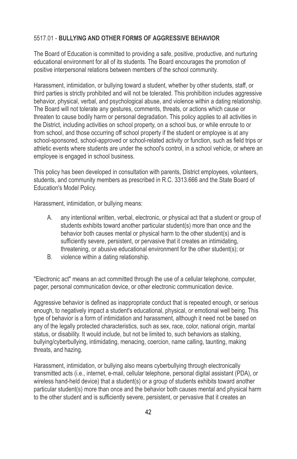# 5517.01 - **BULLYING AND OTHER FORMS OF AGGRESSIVE BEHAVIOR**

The Board of Education is committed to providing a safe, positive, productive, and nurturing educational environment for all of its students. The Board encourages the promotion of positive interpersonal relations between members of the school community.

Harassment, intimidation, or bullying toward a student, whether by other students, staff, or third parties is strictly prohibited and will not be tolerated. This prohibition includes aggressive behavior, physical, verbal, and psychological abuse, and violence within a dating relationship. The Board will not tolerate any gestures, comments, threats, or actions which cause or threaten to cause bodily harm or personal degradation. This policy applies to all activities in the District, including activities on school property, on a school bus, or while enroute to or from school, and those occurring off school property if the student or employee is at any school-sponsored, school-approved or school-related activity or function, such as field trips or athletic events where students are under the school's control, in a school vehicle, or where an employee is engaged in school business.

This policy has been developed in consultation with parents, District employees, volunteers, students, and community members as prescribed in R.C. 3313.666 and the State Board of Education's Model Policy.

Harassment, intimidation, or bullying means:

- A. any intentional written, verbal, electronic, or physical act that a student or group of students exhibits toward another particular student(s) more than once and the behavior both causes mental or physical harm to the other student(s) and is sufficiently severe, persistent, or pervasive that it creates an intimidating, threatening, or abusive educational environment for the other student(s); or
- B. violence within a dating relationship.

"Electronic act" means an act committed through the use of a cellular telephone, computer, pager, personal communication device, or other electronic communication device.

Aggressive behavior is defined as inappropriate conduct that is repeated enough, or serious enough, to negatively impact a student's educational, physical, or emotional well being. This type of behavior is a form of intimidation and harassment, although it need not be based on any of the legally protected characteristics, such as sex, race, color, national origin, marital status, or disability. It would include, but not be limited to, such behaviors as stalking, bullying/cyberbullying, intimidating, menacing, coercion, name calling, taunting, making threats, and hazing.

Harassment, intimidation, or bullying also means cyberbullying through electronically transmitted acts (i.e., internet, e-mail, cellular telephone, personal digital assistant (PDA), or wireless hand-held device) that a student(s) or a group of students exhibits toward another particular student(s) more than once and the behavior both causes mental and physical harm to the other student and is sufficiently severe, persistent, or pervasive that it creates an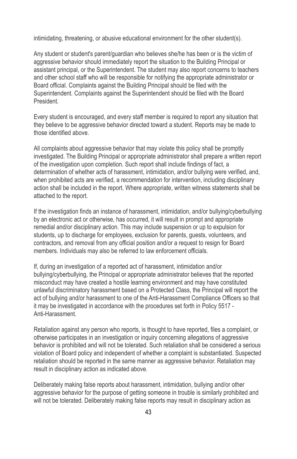intimidating, threatening, or abusive educational environment for the other student(s).

Any student or student's parent/guardian who believes she/he has been or is the victim of aggressive behavior should immediately report the situation to the Building Principal or assistant principal, or the Superintendent. The student may also report concerns to teachers and other school staff who will be responsible for notifying the appropriate administrator or Board official. Complaints against the Building Principal should be filed with the Superintendent. Complaints against the Superintendent should be filed with the Board President.

Every student is encouraged, and every staff member is required to report any situation that they believe to be aggressive behavior directed toward a student. Reports may be made to those identified above.

All complaints about aggressive behavior that may violate this policy shall be promptly investigated. The Building Principal or appropriate administrator shall prepare a written report of the investigation upon completion. Such report shall include findings of fact, a determination of whether acts of harassment, intimidation, and/or bullying were verified, and, when prohibited acts are verified, a recommendation for intervention, including disciplinary action shall be included in the report. Where appropriate, written witness statements shall be attached to the report.

If the investigation finds an instance of harassment, intimidation, and/or bullying/cyberbullying by an electronic act or otherwise, has occurred, it will result in prompt and appropriate remedial and/or disciplinary action. This may include suspension or up to expulsion for students, up to discharge for employees, exclusion for parents, quests, volunteers, and contractors, and removal from any official position and/or a request to resign for Board members. Individuals may also be referred to law enforcement officials.

If, during an investigation of a reported act of harassment, intimidation and/or bullying/cyberbullying, the Principal or appropriate administrator believes that the reported misconduct may have created a hostile learning environment and may have constituted unlawful discriminatory harassment based on a Protected Class, the Principal will report the act of bullying and/or harassment to one of the Anti-Harassment Compliance Officers so that it may be investigated in accordance with the procedures set forth in Policy 5517 - Anti-Harassment.

Retaliation against any person who reports, is thought to have reported, files a complaint, or otherwise participates in an investigation or inquiry concerning allegations of aggressive behavior is prohibited and will not be tolerated. Such retaliation shall be considered a serious violation of Board policy and independent of whether a complaint is substantiated. Suspected retaliation should be reported in the same manner as aggressive behavior. Retaliation may result in disciplinary action as indicated above.

Deliberately making false reports about harassment, intimidation, bullying and/or other aggressive behavior for the purpose of getting someone in trouble is similarly prohibited and will not be tolerated. Deliberately making false reports may result in disciplinary action as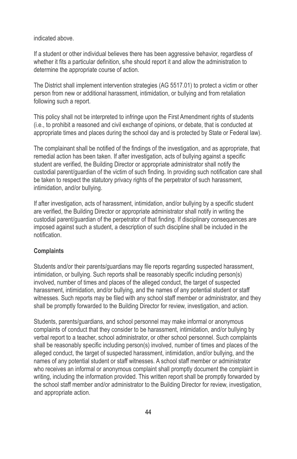indicated above.

If a student or other individual believes there has been aggressive behavior, regardless of whether it fits a particular definition, s/he should report it and allow the administration to determine the appropriate course of action.

The District shall implement intervention strategies (AG 5517.01) to protect a victim or other person from new or additional harassment, intimidation, or bullying and from retaliation following such a report.

This policy shall not be interpreted to infringe upon the First Amendment rights of students (i.e., to prohibit a reasoned and civil exchange of opinions, or debate, that is conducted at appropriate times and places during the school day and is protected by State or Federal law).

The complainant shall be notified of the findings of the investigation, and as appropriate, that remedial action has been taken. If after investigation, acts of bullying against a specific student are verified, the Building Director or appropriate administrator shall notify the custodial parent/guardian of the victim of such finding. In providing such notification care shall be taken to respect the statutory privacy rights of the perpetrator of such harassment, intimidation, and/or bullying.

If after investigation, acts of harassment, intimidation, and/or bullying by a specific student are verified, the Building Director or appropriate administrator shall notify in writing the custodial parent/guardian of the perpetrator of that finding. If disciplinary consequences are imposed against such a student, a description of such discipline shall be included in the notification.

# **Complaints**

Students and/or their parents/guardians may file reports regarding suspected harassment, intimidation, or bullying. Such reports shall be reasonably specific including person(s) involved, number of times and places of the alleged conduct, the target of suspected harassment, intimidation, and/or bullying, and the names of any potential student or staff witnesses. Such reports may be filed with any school staff member or administrator, and they shall be promptly forwarded to the Building Director for review, investigation, and action.

Students, parents/guardians, and school personnel may make informal or anonymous complaints of conduct that they consider to be harassment, intimidation, and/or bullying by verbal report to a teacher, school administrator, or other school personnel. Such complaints shall be reasonably specific including person(s) involved, number of times and places of the alleged conduct, the target of suspected harassment, intimidation, and/or bullying, and the names of any potential student or staff witnesses. A school staff member or administrator who receives an informal or anonymous complaint shall promptly document the complaint in writing, including the information provided. This written report shall be promptly forwarded by the school staff member and/or administrator to the Building Director for review, investigation, and appropriate action.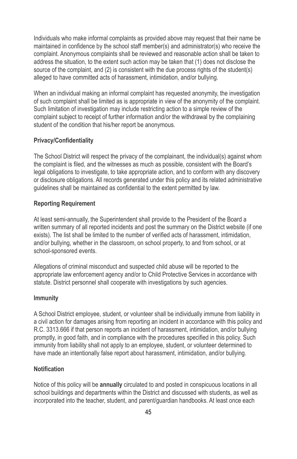Individuals who make informal complaints as provided above may request that their name be maintained in confidence by the school staff member(s) and administrator(s) who receive the complaint. Anonymous complaints shall be reviewed and reasonable action shall be taken to address the situation, to the extent such action may be taken that (1) does not disclose the source of the complaint, and (2) is consistent with the due process rights of the student(s) alleged to have committed acts of harassment, intimidation, and/or bullying.

When an individual making an informal complaint has requested anonymity, the investigation of such complaint shall be limited as is appropriate in view of the anonymity of the complaint. Such limitation of investigation may include restricting action to a simple review of the complaint subject to receipt of further information and/or the withdrawal by the complaining student of the condition that his/her report be anonymous.

#### **Privacy/Confidentiality**

The School District will respect the privacy of the complainant, the individual(s) against whom the complaint is filed, and the witnesses as much as possible, consistent with the Board's legal obligations to investigate, to take appropriate action, and to conform with any discovery or disclosure obligations. All records generated under this policy and its related administrative guidelines shall be maintained as confidential to the extent permitted by law.

# **Reporting Requirement**

At least semi-annually, the Superintendent shall provide to the President of the Board a written summary of all reported incidents and post the summary on the District website (if one exists). The list shall be limited to the number of verified acts of harassment, intimidation, and/or bullying, whether in the classroom, on school property, to and from school, or at school-sponsored events.

Allegations of criminal misconduct and suspected child abuse will be reported to the appropriate law enforcement agency and/or to Child Protective Services in accordance with statute. District personnel shall cooperate with investigations by such agencies.

# **Immunity**

A School District employee, student, or volunteer shall be individually immune from liability in a civil action for damages arising from reporting an incident in accordance with this policy and R.C. 3313.666 if that person reports an incident of harassment, intimidation, and/or bullying promptly, in good faith, and in compliance with the procedures specified in this policy. Such immunity from liability shall not apply to an employee, student, or volunteer determined to have made an intentionally false report about harassment, intimidation, and/or bullying.

#### **Notification**

Notice of this policy will be **annually** circulated to and posted in conspicuous locations in all school buildings and departments within the District and discussed with students, as well as incorporated into the teacher, student, and parent/guardian handbooks. At least once each